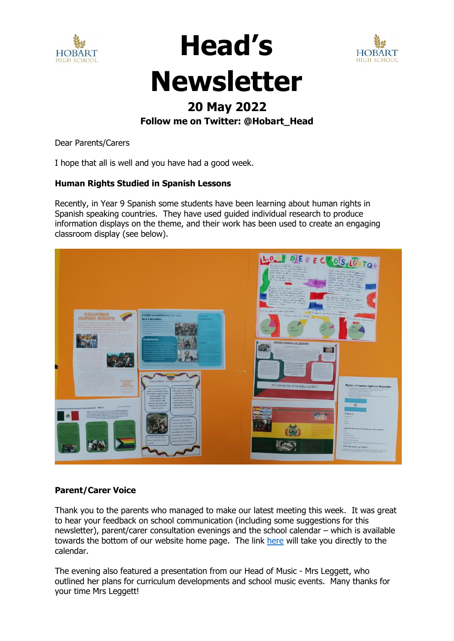



**Head's** 

### **20 May 2022**

**Follow me on Twitter: @Hobart\_Head**

Dear Parents/Carers

I hope that all is well and you have had a good week.

#### **Human Rights Studied in Spanish Lessons**

Recently, in Year 9 Spanish some students have been learning about human rights in Spanish speaking countries. They have used guided individual research to produce information displays on the theme, and their work has been used to create an engaging classroom display (see below).



#### **Parent/Carer Voice**

Thank you to the parents who managed to make our latest meeting this week. It was great to hear your feedback on school communication (including some suggestions for this newsletter), parent/carer consultation evenings and the school calendar – which is available towards the bottom of our website home page. The link [here](https://www.hobart.org.uk/about-our-school/events-calendar/) will take you directly to the calendar.

The evening also featured a presentation from our Head of Music - Mrs Leggett, who outlined her plans for curriculum developments and school music events. Many thanks for your time Mrs Leggett!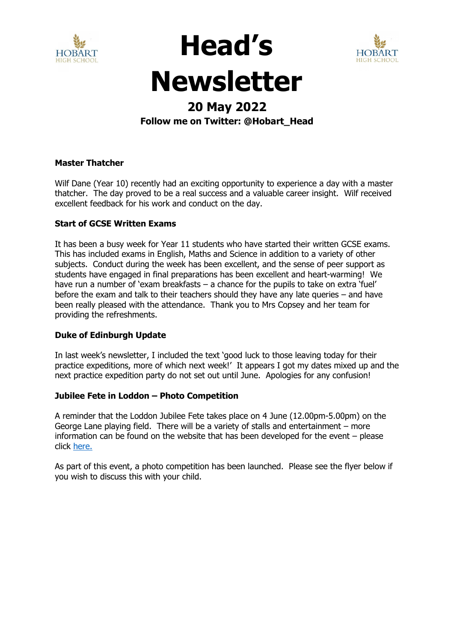



**Head's** 

### **20 May 2022**

#### **Follow me on Twitter: @Hobart\_Head**

#### **Master Thatcher**

Wilf Dane (Year 10) recently had an exciting opportunity to experience a day with a master thatcher. The day proved to be a real success and a valuable career insight. Wilf received excellent feedback for his work and conduct on the day.

#### **Start of GCSE Written Exams**

It has been a busy week for Year 11 students who have started their written GCSE exams. This has included exams in English, Maths and Science in addition to a variety of other subjects. Conduct during the week has been excellent, and the sense of peer support as students have engaged in final preparations has been excellent and heart-warming! We have run a number of 'exam breakfasts – a chance for the pupils to take on extra 'fuel' before the exam and talk to their teachers should they have any late queries – and have been really pleased with the attendance. Thank you to Mrs Copsey and her team for providing the refreshments.

#### **Duke of Edinburgh Update**

In last week's newsletter, I included the text 'good luck to those leaving today for their practice expeditions, more of which next week!' It appears I got my dates mixed up and the next practice expedition party do not set out until June. Apologies for any confusion!

#### **Jubilee Fete in Loddon – Photo Competition**

A reminder that the Loddon Jubilee Fete takes place on 4 June (12.00pm-5.00pm) on the George Lane playing field. There will be a variety of stalls and entertainment – more information can be found on the website that has been developed for the event – please click [here.](https://platinumjubilee.gov.uk/event/loddon-and-chedgrave-platinum-jubilee-fete/) 

As part of this event, a photo competition has been launched. Please see the flyer below if you wish to discuss this with your child.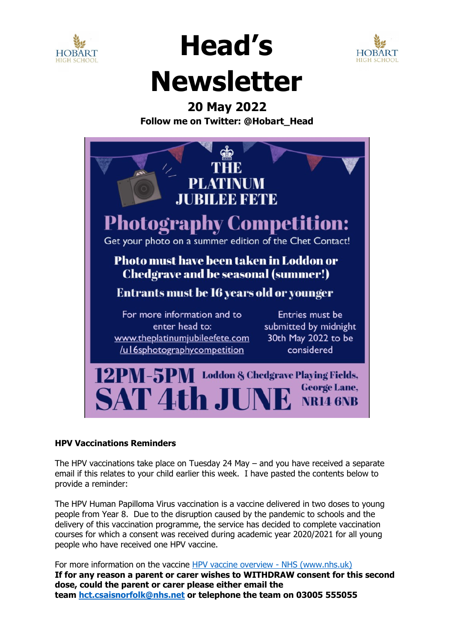



**Head's** 

### **20 May 2022**

**Follow me on Twitter: @Hobart\_Head**



#### **HPV Vaccinations Reminders**

The HPV vaccinations take place on Tuesday 24 May – and you have received a separate email if this relates to your child earlier this week. I have pasted the contents below to provide a reminder:

The HPV Human Papilloma Virus vaccination is a vaccine delivered in two doses to young people from Year 8. Due to the disruption caused by the pandemic to schools and the delivery of this vaccination programme, the service has decided to complete vaccination courses for which a consent was received during academic year 2020/2021 for all young people who have received one HPV vaccine.

For more information on the vaccine [HPV vaccine overview -](https://www.nhs.uk/conditions/vaccinations/hpv-human-papillomavirus-vaccine/) NHS (www.nhs.uk) **If for any reason a parent or carer wishes to WITHDRAW consent for this second dose, could the parent or carer please either email the team [hct.csaisnorfolk@nhs.net](mailto:hct.csaisnorfolk@nhs.net) or telephone the team on 03005 555055**